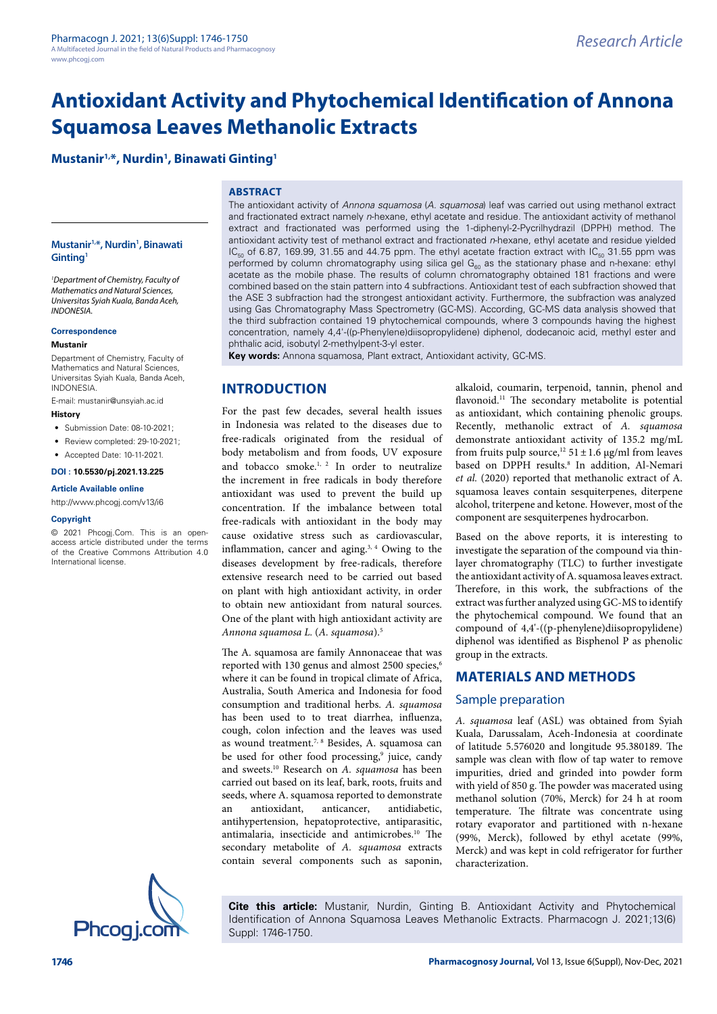# **Mustanir1,\*, Nurdin1 , Binawati Ginting1**

### **ABSTRACT**

#### **Mustanir1,\*, Nurdin1 , Binawati Ginting1**

*1 Department of Chemistry, Faculty of Mathematics and Natural Sciences, Universitas Syiah Kuala, Banda Aceh, INDONESIA.*

#### **Correspondence**

#### **Mustanir**

Department of Chemistry, Faculty of Mathematics and Natural Sciences, Universitas Syiah Kuala, Banda Aceh, INDONESIA.

E-mail: mustanir@unsyiah.ac.id

### **History**

- Submission Date: 08-10-2021;
- Review completed: 29-10-2021;
- Accepted Date: 10-11-2021.

#### **DOI : 10.5530/pj.2021.13.225**

#### **Article Available online**

[http://www.phcogj.com/v13/i6](http://www.phcogj.com/v13/i4)

#### **Copyright**

© 2021 Phcogj.Com. This is an openaccess article distributed under the terms of the Creative Commons Attribution 4.0 International license.

The antioxidant activity of *Annona squamosa* (*A. squamosa*) leaf was carried out using methanol extract and fractionated extract namely *n*-hexane, ethyl acetate and residue. The antioxidant activity of methanol extract and fractionated was performed using the 1-diphenyl-2-Pycrilhydrazil (DPPH) method. The antioxidant activity test of methanol extract and fractionated *n*-hexane, ethyl acetate and residue yielded  $IC_{50}$  of 6.87, 169.99, 31.55 and 44.75 ppm. The ethyl acetate fraction extract with  $IC_{50}$  31.55 ppm was performed by column chromatography using silica gel  $G_{60}$  as the stationary phase and n-hexane: ethyl acetate as the mobile phase. The results of column chromatography obtained 181 fractions and were combined based on the stain pattern into 4 subfractions. Antioxidant test of each subfraction showed that the ASE 3 subfraction had the strongest antioxidant activity. Furthermore, the subfraction was analyzed using Gas Chromatography Mass Spectrometry (GC-MS). According, GC-MS data analysis showed that the third subfraction contained 19 phytochemical compounds, where 3 compounds having the highest concentration, namely 4,4'-((p-Phenylene)diisopropylidene) diphenol, dodecanoic acid, methyl ester and phthalic acid, isobutyl 2-methylpent-3-yl ester.

**Key words:** Annona squamosa, Plant extract, Antioxidant activity, GC-MS.

## **INTRODUCTION**

For the past few decades, several health issues in Indonesia was related to the diseases due to free-radicals originated from the residual of body metabolism and from foods, UV exposure and tobacco smoke.<sup>1, 2</sup> In order to neutralize the increment in free radicals in body therefore antioxidant was used to prevent the build up concentration. If the imbalance between total free-radicals with antioxidant in the body may cause oxidative stress such as cardiovascular, inflammation, cancer and aging. $3, 4$  Owing to the diseases development by free-radicals, therefore extensive research need to be carried out based on plant with high antioxidant activity, in order to obtain new antioxidant from natural sources. One of the plant with high antioxidant activity are *Annona squamosa L.* (*A. squamosa*).5

The A. squamosa are family Annonaceae that was reported with 130 genus and almost 2500 species,<sup>6</sup> where it can be found in tropical climate of Africa, Australia, South America and Indonesia for food consumption and traditional herbs. *A. squamosa* has been used to to treat diarrhea, influenza, cough, colon infection and the leaves was used as wound treatment.<sup>7, 8</sup> Besides, A. squamosa can be used for other food processing,<sup>9</sup> juice, candy and sweets.10 Research on *A. squamosa* has been carried out based on its leaf, bark, roots, fruits and seeds, where A. squamosa reported to demonstrate<br>an antioxidant, anticancer, antidiabetic, an antioxidant, antihypertension, hepatoprotective, antiparasitic, antimalaria, insecticide and antimicrobes.<sup>10</sup> The secondary metabolite of *A. squamosa* extracts contain several components such as saponin,

alkaloid, coumarin, terpenoid, tannin, phenol and flavonoid.<sup>11</sup> The secondary metabolite is potential as antioxidant, which containing phenolic groups. Recently, methanolic extract of *A. squamosa* demonstrate antioxidant activity of 135.2 mg/mL from fruits pulp source,<sup>12</sup> 51 ± 1.6 µg/ml from leaves based on DPPH results.<sup>8</sup> In addition, Al-Nemari *et al.* (2020) reported that methanolic extract of A. squamosa leaves contain sesquiterpenes, diterpene alcohol, triterpene and ketone. However, most of the component are sesquiterpenes hydrocarbon.

Based on the above reports, it is interesting to investigate the separation of the compound via thinlayer chromatography (TLC) to further investigate the antioxidant activity of A. squamosa leaves extract. Therefore, in this work, the subfractions of the extract was further analyzed using GC-MS to identify the phytochemical compound. We found that an compound of 4,4'-((p-phenylene)diisopropylidene) diphenol was identified as Bisphenol P as phenolic group in the extracts.

## **MATERIALS AND METHODS**

### Sample preparation

*A. squamosa* leaf (ASL) was obtained from Syiah Kuala, Darussalam, Aceh-Indonesia at coordinate of latitude 5.576020 and longitude 95.380189. The sample was clean with flow of tap water to remove impurities, dried and grinded into powder form with yield of 850 g. The powder was macerated using methanol solution (70%, Merck) for 24 h at room temperature. The filtrate was concentrate using rotary evaporator and partitioned with n-hexane (99%, Merck), followed by ethyl acetate (99%, Merck) and was kept in cold refrigerator for further characterization.



**Cite this article:** Mustanir, Nurdin, Ginting B. Antioxidant Activity and Phytochemical Identification of Annona Squamosa Leaves Methanolic Extracts. Pharmacogn J. 2021;13(6) Suppl: 1746-1750.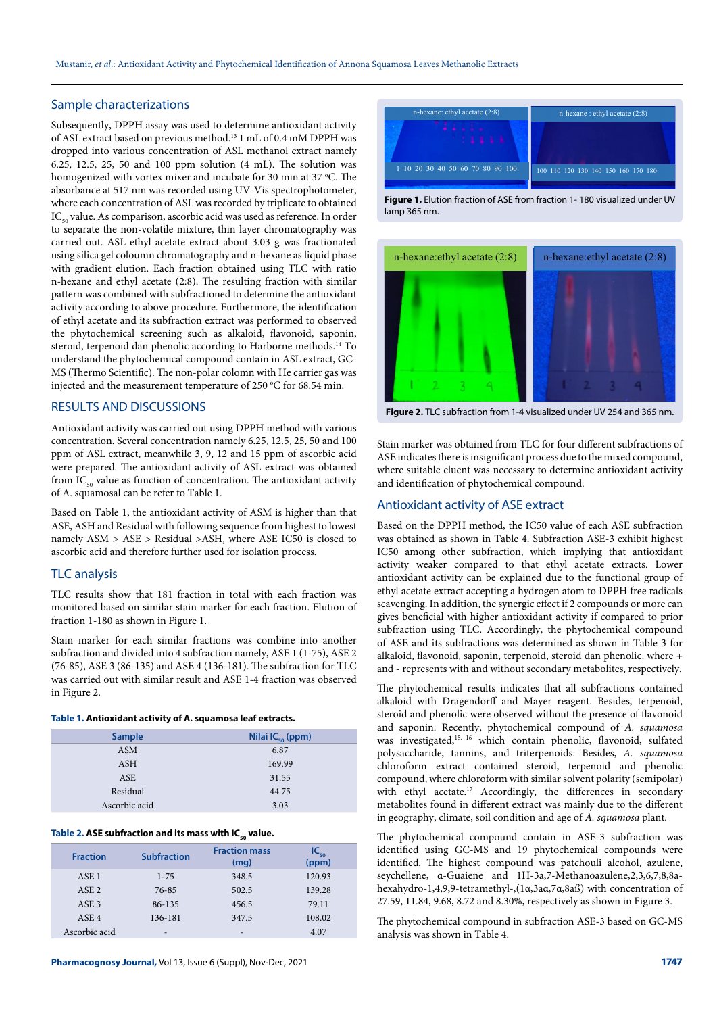### Sample characterizations

Subsequently, DPPH assay was used to determine antioxidant activity of ASL extract based on previous method.13 1 mL of 0.4 mM DPPH was dropped into various concentration of ASL methanol extract namely 6.25, 12.5, 25, 50 and 100 ppm solution (4 mL). The solution was homogenized with vortex mixer and incubate for 30 min at 37 °C. The absorbance at 517 nm was recorded using UV-Vis spectrophotometer, where each concentration of ASL was recorded by triplicate to obtained IC<sub>50</sub> value. As comparison, ascorbic acid was used as reference. In order to separate the non-volatile mixture, thin layer chromatography was carried out. ASL ethyl acetate extract about 3.03 g was fractionated using silica gel coloumn chromatography and n-hexane as liquid phase with gradient elution. Each fraction obtained using TLC with ratio n-hexane and ethyl acetate (2:8). The resulting fraction with similar pattern was combined with subfractioned to determine the antioxidant activity according to above procedure. Furthermore, the identification of ethyl acetate and its subfraction extract was performed to observed the phytochemical screening such as alkaloid, flavonoid, saponin, steroid, terpenoid dan phenolic according to Harborne methods.14 To understand the phytochemical compound contain in ASL extract, GC-MS (Thermo Scientific). The non-polar colomn with He carrier gas was injected and the measurement temperature of 250  $\rm{^{\circ}C}$  for 68.54 min.

### RESULTS AND DISCUSSIONS

Antioxidant activity was carried out using DPPH method with various concentration. Several concentration namely 6.25, 12.5, 25, 50 and 100 ppm of ASL extract, meanwhile 3, 9, 12 and 15 ppm of ascorbic acid were prepared. The antioxidant activity of ASL extract was obtained from  $IC_{50}$  value as function of concentration. The antioxidant activity of A. squamosal can be refer to Table 1.

Based on Table 1, the antioxidant activity of ASM is higher than that ASE, ASH and Residual with following sequence from highest to lowest namely ASM > ASE > Residual >ASH, where ASE IC50 is closed to ascorbic acid and therefore further used for isolation process.

### TLC analysis

TLC results show that 181 fraction in total with each fraction was monitored based on similar stain marker for each fraction. Elution of fraction 1-180 as shown in Figure 1.

Stain marker for each similar fractions was combine into another subfraction and divided into 4 subfraction namely, ASE 1 (1-75), ASE 2 (76-85), ASE 3 (86-135) and ASE 4 (136-181). The subfraction for TLC was carried out with similar result and ASE 1-4 fraction was observed in Figure 2.

#### **Table 1. Antioxidant activity of A. squamosa leaf extracts.**

| <b>Sample</b> | Nilai IC $_{50}$ (ppm) |
|---------------|------------------------|
| <b>ASM</b>    | 6.87                   |
| ASH           | 169.99                 |
| ASE           | 31.55                  |
| Residual      | 44.75                  |
| Ascorbic acid | 3.03                   |

#### Table 2. ASE subfraction and its mass with IC<sub>50</sub> value.

| <b>Fraction</b>  | <b>Subfraction</b> | <b>Fraction mass</b><br>(mq) | IC $_{50}$<br>(ppm) |
|------------------|--------------------|------------------------------|---------------------|
| ASE <sub>1</sub> | $1 - 75$           | 348.5                        | 120.93              |
| ASE <sub>2</sub> | 76-85              | 502.5                        | 139.28              |
| ASE <sub>3</sub> | 86-135             | 456.5                        | 79.11               |
| ASE <sub>4</sub> | 136-181            | 347.5                        | 108.02              |
| Ascorbic acid    |                    | ۰                            | 4.07                |



**Figure 1.** Elution fraction of ASE from fraction 1- 180 visualized under UV lamp 365 nm.



**Figure 2.** TLC subfraction from 1-4 visualized under UV 254 and 365 nm.

Stain marker was obtained from TLC for four different subfractions of ASE indicates there is insignificant process due to the mixed compound, where suitable eluent was necessary to determine antioxidant activity and identification of phytochemical compound.

### Antioxidant activity of ASE extract

Based on the DPPH method, the IC50 value of each ASE subfraction was obtained as shown in Table 4. Subfraction ASE-3 exhibit highest IC50 among other subfraction, which implying that antioxidant activity weaker compared to that ethyl acetate extracts. Lower antioxidant activity can be explained due to the functional group of ethyl acetate extract accepting a hydrogen atom to DPPH free radicals scavenging. In addition, the synergic effect if 2 compounds or more can gives beneficial with higher antioxidant activity if compared to prior subfraction using TLC. Accordingly, the phytochemical compound of ASE and its subfractions was determined as shown in Table 3 for alkaloid, flavonoid, saponin, terpenoid, steroid dan phenolic, where + and - represents with and without secondary metabolites, respectively.

The phytochemical results indicates that all subfractions contained alkaloid with Dragendorff and Mayer reagent. Besides, terpenoid, steroid and phenolic were observed without the presence of flavonoid and saponin. Recently, phytochemical compound of *A. squamosa* was investigated,<sup>15, 16</sup> which contain phenolic, flavonoid, sulfated polysaccharide, tannins, and triterpenoids. Besides, *A. squamosa* chloroform extract contained steroid, terpenoid and phenolic compound, where chloroform with similar solvent polarity (semipolar) with ethyl acetate.<sup>17</sup> Accordingly, the differences in secondary metabolites found in different extract was mainly due to the different in geography, climate, soil condition and age of *A. squamosa* plant.

The phytochemical compound contain in ASE-3 subfraction was identified using GC-MS and 19 phytochemical compounds were identified. The highest compound was patchouli alcohol, azulene, seychellene, α-Guaiene and 1H-3a,7-Methanoazulene,2,3,6,7,8,8ahexahydro-1,4,9,9-tetramethyl-,(1α,3aα,7α,8aß) with concentration of 27.59, 11.84, 9.68, 8.72 and 8.30%, respectively as shown in Figure 3.

The phytochemical compound in subfraction ASE-3 based on GC-MS analysis was shown in Table 4.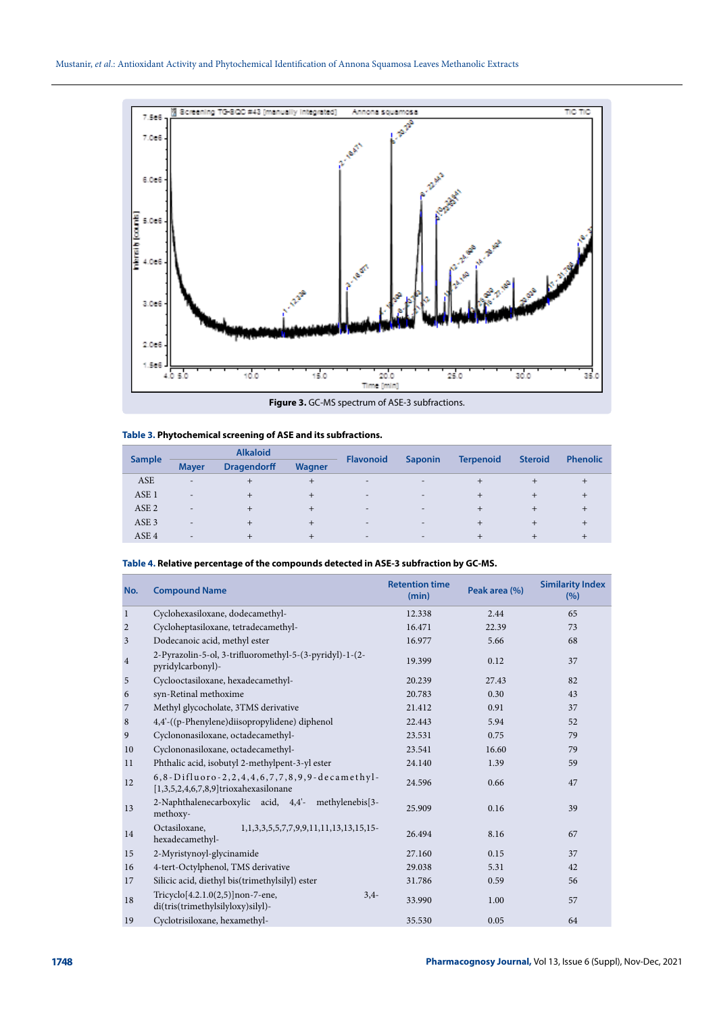

**Figure 3.** GC-MS spectrum of ASE-3 subfractions.

| <b>Sample</b>    | <b>Alkaloid</b>          |                    |        |                          |                | <b>Steroid</b>   | <b>Phenolic</b> |  |
|------------------|--------------------------|--------------------|--------|--------------------------|----------------|------------------|-----------------|--|
|                  | <b>Mayer</b>             | <b>Dragendorff</b> | Wagner | <b>Flavonoid</b>         | <b>Saponin</b> | <b>Terpenoid</b> |                 |  |
| ASE              | $\overline{\phantom{a}}$ |                    | +      | $\overline{\phantom{a}}$ |                |                  |                 |  |
| ASE <sub>1</sub> | $\overline{\phantom{0}}$ |                    | $^{+}$ | $\overline{\phantom{0}}$ | -              |                  |                 |  |
| ASE <sub>2</sub> | $\qquad \qquad$          |                    | $^+$   | $\overline{\phantom{0}}$ |                |                  |                 |  |
| ASE <sub>3</sub> | $\overline{\phantom{0}}$ |                    | $\pm$  | $\overline{\phantom{a}}$ |                |                  |                 |  |
| ASE <sub>4</sub> | $\overline{\phantom{a}}$ |                    | $\pm$  | $\overline{\phantom{a}}$ | $\sim$         |                  | ÷               |  |
|                  |                          |                    |        |                          |                |                  |                 |  |

### **Table 3. Phytochemical screening of ASE and its subfractions.**

#### **Table 4. Relative percentage of the compounds detected in ASE-3 subfraction by GC-MS.**

| No.              | <b>Compound Name</b>                                                                      | <b>Retention time</b><br>(min) | Peak area (%) | <b>Similarity Index</b><br>(9/6) |
|------------------|-------------------------------------------------------------------------------------------|--------------------------------|---------------|----------------------------------|
| $\mathbf{1}$     | Cyclohexasiloxane, dodecamethyl-                                                          | 12.338                         | 2.44          | 65                               |
| $\overline{2}$   | Cycloheptasiloxane, tetradecamethyl-                                                      | 16.471                         | 22.39         | 73                               |
| 3                | Dodecanoic acid, methyl ester                                                             | 16.977                         | 5.66          | 68                               |
| $\overline{4}$   | 2-Pyrazolin-5-ol, 3-trifluoromethyl-5-(3-pyridyl)-1-(2-<br>pyridylcarbonyl)-              | 19.399                         | 0.12          | 37                               |
| $\sqrt{5}$       | Cyclooctasiloxane, hexadecamethyl-                                                        | 20.239                         | 27.43         | 82                               |
| $\boldsymbol{6}$ | syn-Retinal methoxime                                                                     | 20.783                         | 0.30          | 43                               |
| $\overline{7}$   | Methyl glycocholate, 3TMS derivative                                                      | 21.412                         | 0.91          | 37                               |
| $\,8\,$          | 4,4'-((p-Phenylene)diisopropylidene) diphenol                                             | 22.443                         | 5.94          | 52                               |
| 9                | Cyclononasiloxane, octadecamethyl-                                                        | 23.531                         | 0.75          | 79                               |
| 10               | Cyclononasiloxane, octadecamethyl-                                                        | 23.541                         | 16.60         | 79                               |
| 11               | Phthalic acid, isobutyl 2-methylpent-3-yl ester                                           | 24.140                         | 1.39          | 59                               |
| 12               | 6,8-Difluoro-2,2,4,4,6,7,7,8,9,9-decamethyl-<br>$[1,3,5,2,4,6,7,8,9]$ trioxahexasilonane  | 24.596                         | 0.66          | 47                               |
| 13               | 2-Naphthalenecarboxylic acid, 4,4'- methylenebis[3-<br>methoxy-                           | 25.909                         | 0.16          | 39                               |
| 14               | Octasiloxane,<br>1, 1, 3, 3, 5, 5, 7, 7, 9, 9, 11, 11, 13, 13, 15, 15-<br>hexadecamethyl- | 26.494                         | 8.16          | 67                               |
| 15               | 2-Myristynoyl-glycinamide                                                                 | 27.160                         | 0.15          | 37                               |
| 16               | 4-tert-Octylphenol, TMS derivative                                                        | 29.038                         | 5.31          | 42                               |
| 17               | Silicic acid, diethyl bis(trimethylsilyl) ester                                           | 31.786                         | 0.59          | 56                               |
| 18               | Tricyclo[4.2.1.0(2,5)]non-7-ene,<br>$3,4-$<br>di(tris(trimethylsilyloxy)silyl)-           | 33.990                         | 1.00          | 57                               |
| 19               | Cyclotrisiloxane, hexamethyl-                                                             | 35.530                         | 0.05          | 64                               |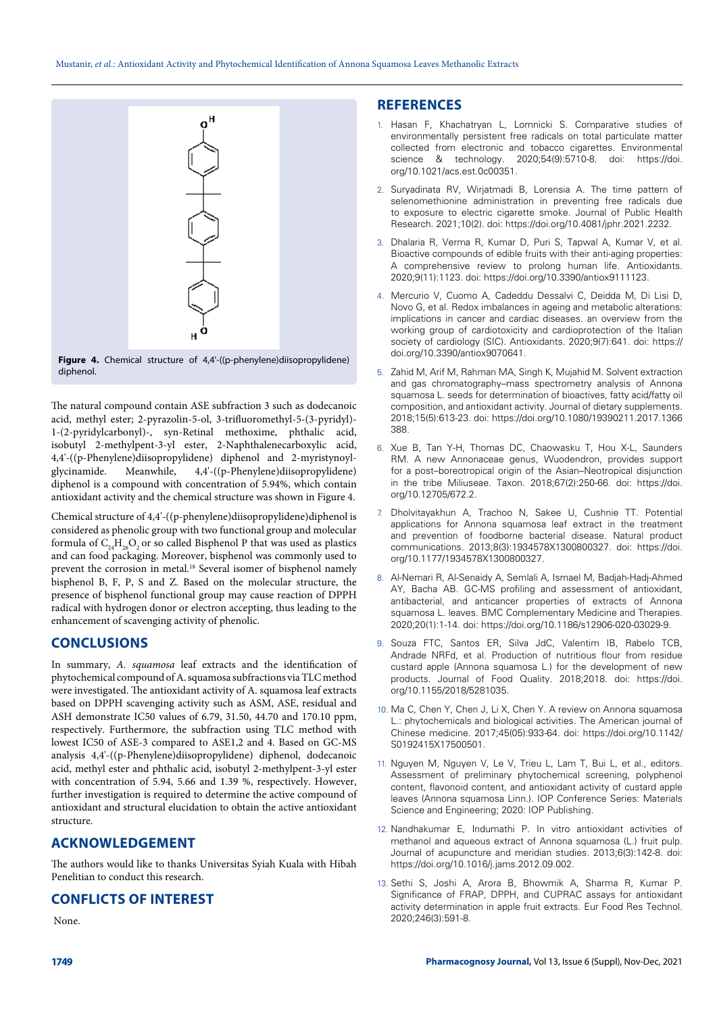

The natural compound contain ASE subfraction 3 such as dodecanoic acid, methyl ester; 2-pyrazolin-5-ol, 3-trifluoromethyl-5-(3-pyridyl)- 1-(2-pyridylcarbonyl)-, syn-Retinal methoxime, phthalic acid, isobutyl 2-methylpent-3-yl ester, 2-Naphthalenecarboxylic acid, 4,4'-((p-Phenylene)diisopropylidene) diphenol and 2-myristynoyl-Meanwhile, 4,4'-((p-Phenylene)diisopropylidene) diphenol is a compound with concentration of 5.94%, which contain antioxidant activity and the chemical structure was shown in Figure 4.

Chemical structure of 4,4'-((p-phenylene)diisopropylidene)diphenol is considered as phenolic group with two functional group and molecular formula of  $C_{24}H_{26}O_2$  or so called Bisphenol P that was used as plastics and can food packaging. Moreover, bisphenol was commonly used to prevent the corrosion in metal.<sup>18</sup> Several isomer of bisphenol namely bisphenol B, F, P, S and Z. Based on the molecular structure, the presence of bisphenol functional group may cause reaction of DPPH radical with hydrogen donor or electron accepting, thus leading to the enhancement of scavenging activity of phenolic.

# **CONCLUSIONS**

In summary, *A. squamosa* leaf extracts and the identification of phytochemical compound of A. squamosa subfractions via TLC method were investigated. The antioxidant activity of A. squamosa leaf extracts based on DPPH scavenging activity such as ASM, ASE, residual and ASH demonstrate IC50 values of 6.79, 31.50, 44.70 and 170.10 ppm, respectively. Furthermore, the subfraction using TLC method with lowest IC50 of ASE-3 compared to ASE1,2 and 4. Based on GC-MS analysis 4,4'-((p-Phenylene)diisopropylidene) diphenol, dodecanoic acid, methyl ester and phthalic acid, isobutyl 2-methylpent-3-yl ester with concentration of 5.94, 5.66 and 1.39 %, respectively. However, further investigation is required to determine the active compound of antioxidant and structural elucidation to obtain the active antioxidant structure.

### **ACKNOWLEDGEMENT**

The authors would like to thanks Universitas Syiah Kuala with Hibah Penelitian to conduct this research.

## **CONFLICTS OF INTEREST**

None.

## **REFERENCES**

- 1. Hasan F, Khachatryan L, Lomnicki S. Comparative studies of environmentally persistent free radicals on total particulate matter collected from electronic and tobacco cigarettes. Environmental science & technology. 2020;54(9):5710-8. doi: [https://doi.](https://doi.org/10.1021/acs.est.0c00351) [org/10.1021/acs.est.0c00351.](https://doi.org/10.1021/acs.est.0c00351)
- 2. Suryadinata RV, Wirjatmadi B, Lorensia A. The time pattern of selenomethionine administration in preventing free radicals due to exposure to electric cigarette smoke. Journal of Public Health Research. 2021;10(2). doi: [https://doi.org/10.4081/jphr.2021.2232.](https://doi.org/10.4081/jphr.2021.2232)
- 3. Dhalaria R, Verma R, Kumar D, Puri S, Tapwal A, Kumar V, et al. Bioactive compounds of edible fruits with their anti-aging properties: A comprehensive review to prolong human life. Antioxidants. 2020;9(11):1123. doi: <https://doi.org/10.3390/antiox9111123>.
- 4. Mercurio V, Cuomo A, Cadeddu Dessalvi C, Deidda M, Di Lisi D, Novo G, et al. Redox imbalances in ageing and metabolic alterations: implications in cancer and cardiac diseases. an overview from the working group of cardiotoxicity and cardioprotection of the Italian society of cardiology (SIC). Antioxidants. 2020;9(7):641. doi: [https://](https://doi.org/10.3390/antiox9070641) [doi.org/10.3390/antiox9070641.](https://doi.org/10.3390/antiox9070641)
- Zahid M, Arif M, Rahman MA, Singh K, Mujahid M. Solvent extraction and gas chromatography–mass spectrometry analysis of Annona squamosa L. seeds for determination of bioactives, fatty acid/fatty oil composition, and antioxidant activity. Journal of dietary supplements. 2018;15(5):613-23. doi: [https://doi.org/10.1080/19390211.2017.1366](https://doi.org/10.1080/19390211.2017.1366388) [388.](https://doi.org/10.1080/19390211.2017.1366388)
- 6. Xue B, Tan Y-H, Thomas DC, Chaowasku T, Hou X-L, Saunders RM. A new Annonaceae genus, Wuodendron, provides support for a post–boreotropical origin of the Asian–Neotropical disjunction in the tribe Miliuseae. Taxon. 2018;67(2):250-66. doi: [https://doi.](https://doi.org/10.12705/672.2) [org/10.12705/672.2.](https://doi.org/10.12705/672.2)
- 7. Dholvitayakhun A, Trachoo N, Sakee U, Cushnie TT. Potential applications for Annona squamosa leaf extract in the treatment and prevention of foodborne bacterial disease. Natural product communications. 2013;8(3):1934578X1300800327. doi: [https://doi.](https://doi.org/10.1177/1934578X1300800327) [org/10.1177/1934578X1300800327.](https://doi.org/10.1177/1934578X1300800327)
- 8. Al-Nemari R, Al-Senaidy A, Semlali A, Ismael M, Badjah-Hadj-Ahmed AY, Bacha AB. GC-MS profiling and assessment of antioxidant, antibacterial, and anticancer properties of extracts of Annona squamosa L. leaves. BMC Complementary Medicine and Therapies. 2020;20(1):1-14. doi: <https://doi.org/10.1186/s12906-020-03029-9>.
- 9. Souza FTC, Santos ER, Silva JdC, Valentim IB, Rabelo TCB, Andrade NRFd, et al. Production of nutritious flour from residue custard apple (Annona squamosa L.) for the development of new products. Journal of Food Quality. 2018;2018. doi: [https://doi.](https://doi.org/10.1155/2018/5281035) [org/10.1155/2018/5281035.](https://doi.org/10.1155/2018/5281035)
- 10. Ma C, Chen Y, Chen J, Li X, Chen Y. A review on Annona squamosa L.: phytochemicals and biological activities. The American journal of Chinese medicine. 2017;45(05):933-64. doi: [https://doi.org/10.1142/](https://doi.org/10.1142/S0192415X17500501) [S0192415X17500501](https://doi.org/10.1142/S0192415X17500501).
- 11. Nguyen M, Nguyen V, Le V, Trieu L, Lam T, Bui L, et al., editors. Assessment of preliminary phytochemical screening, polyphenol content, flavonoid content, and antioxidant activity of custard apple leaves (Annona squamosa Linn.). IOP Conference Series: Materials Science and Engineering; 2020: IOP Publishing.
- 12. Nandhakumar E, Indumathi P. In vitro antioxidant activities of methanol and aqueous extract of Annona squamosa (L.) fruit pulp. Journal of acupuncture and meridian studies. 2013;6(3):142-8. doi: [https://doi.org/10.1016/j.jams.2012.09.002.](https://doi.org/10.1016/j.jams.2012.09.002)
- 13. Sethi S, Joshi A, Arora B, Bhowmik A, Sharma R, Kumar P. Significance of FRAP, DPPH, and CUPRAC assays for antioxidant activity determination in apple fruit extracts. Eur Food Res Technol. 2020;246(3):591-8.